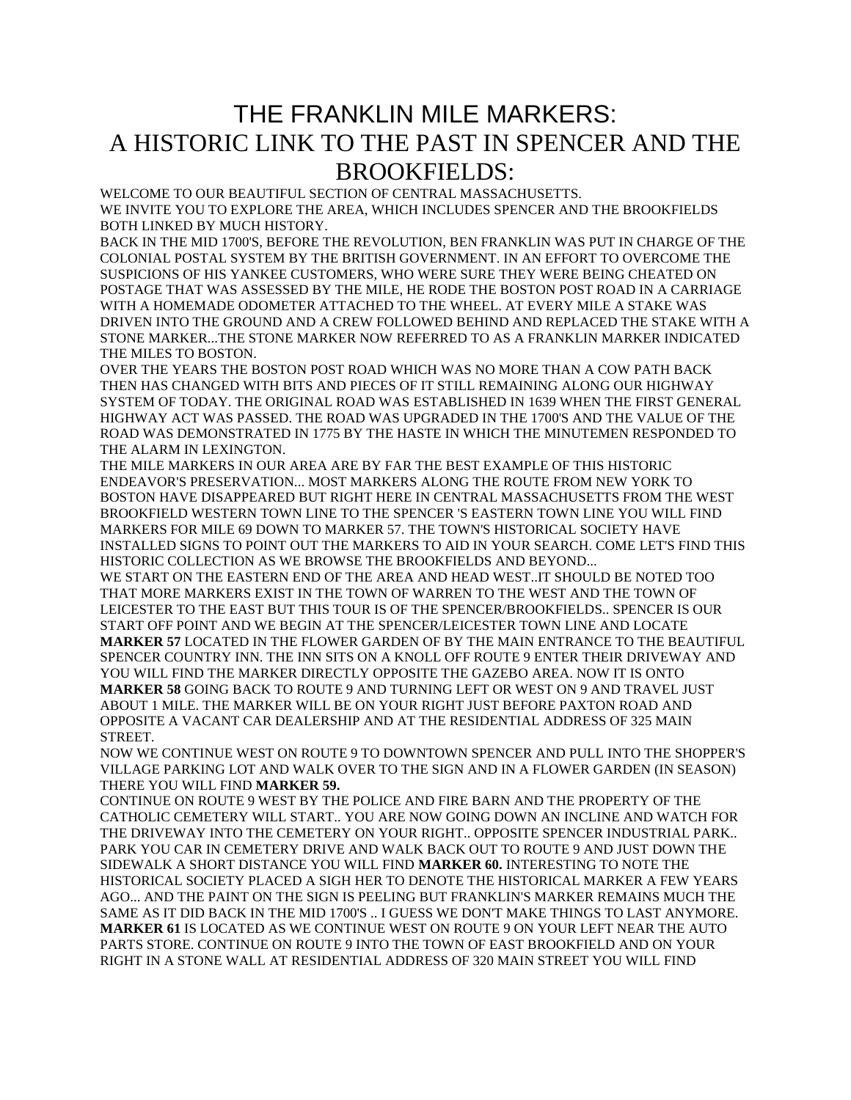## THE FRANKLIN MILE MARKERS: A HISTORIC LINK TO THE PAST IN SPENCER AND THE BROOKFIELDS:

WELCOME TO OUR BEAUTIFUL SECTION OF CENTRAL MASSACHUSETTS. WE INVITE YOU TO EXPLORE THE AREA, WHICH INCLUDES SPENCER AND THE BROOKFIELDS BOTH LINKED BY MUCH HISTORY.

BACK IN THE MID 1700'S, BEFORE THE REVOLUTION, BEN FRANKLIN WAS PUT IN CHARGE OF THE COLONIAL POSTAL SYSTEM BY THE BRITISH GOVERNMENT. IN AN EFFORT TO OVERCOME THE SUSPICIONS OF HIS YANKEE CUSTOMERS, WHO WERE SURE THEY WERE BEING CHEATED ON POSTAGE THAT WAS ASSESSED BY THE MILE, HE RODE THE BOSTON POST ROAD IN A CARRIAGE WITH A HOMEMADE ODOMETER ATTACHED TO THE WHEEL. AT EVERY MILE A STAKE WAS DRIVEN INTO THE GROUND AND A CREW FOLLOWED BEHIND AND REPLACED THE STAKE WITH A STONE MARKER...THE STONE MARKER NOW REFERRED TO AS A FRANKLIN MARKER INDICATED THE MILES TO BOSTON.

OVER THE YEARS THE BOSTON POST ROAD WHICH WAS NO MORE THAN A COW PATH BACK THEN HAS CHANGED WITH BITS AND PIECES OF IT STILL REMAINING ALONG OUR HIGHWAY SYSTEM OF TODAY. THE ORIGINAL ROAD WAS ESTABLISHED IN 1639 WHEN THE FIRST GENERAL HIGHWAY ACT WAS PASSED. THE ROAD WAS UPGRADED IN THE 1700'S AND THE VALUE OF THE ROAD WAS DEMONSTRATED IN 1775 BY THE HASTE IN WHICH THE MINUTEMEN RESPONDED TO THE ALARM IN LEXINGTON.

THE MILE MARKERS IN OUR AREA ARE BY FAR THE BEST EXAMPLE OF THIS HISTORIC ENDEAVOR'S PRESERVATION... MOST MARKERS ALONG THE ROUTE FROM NEW YORK TO BOSTON HAVE DISAPPEARED BUT RIGHT HERE IN CENTRAL MASSACHUSETTS FROM THE WEST BROOKFIELD WESTERN TOWN LINE TO THE SPENCER 'S EASTERN TOWN LINE YOU WILL FIND MARKERS FOR MILE 69 DOWN TO MARKER 57. THE TOWN'S HISTORICAL SOCIETY HAVE INSTALLED SIGNS TO POINT OUT THE MARKERS TO AID IN YOUR SEARCH. COME LET'S FIND THIS HISTORIC COLLECTION AS WE BROWSE THE BROOKFIELDS AND BEYOND...

WE START ON THE EASTERN END OF THE AREA AND HEAD WEST..IT SHOULD BE NOTED TOO THAT MORE MARKERS EXIST IN THE TOWN OF WARREN TO THE WEST AND THE TOWN OF LEICESTER TO THE EAST BUT THIS TOUR IS OF THE SPENCER/BROOKFIELDS.. SPENCER IS OUR START OFF POINT AND WE BEGIN AT THE SPENCER/LEICESTER TOWN LINE AND LOCATE **MARKER 57** LOCATED IN THE FLOWER GARDEN OF BY THE MAIN ENTRANCE TO THE BEAUTIFUL SPENCER COUNTRY INN. THE INN SITS ON A KNOLL OFF ROUTE 9 ENTER THEIR DRIVEWAY AND YOU WILL FIND THE MARKER DIRECTLY OPPOSITE THE GAZEBO AREA. NOW IT IS ONTO **MARKER 58** GOING BACK TO ROUTE 9 AND TURNING LEFT OR WEST ON 9 AND TRAVEL JUST ABOUT 1 MILE. THE MARKER WILL BE ON YOUR RIGHT JUST BEFORE PAXTON ROAD AND OPPOSITE A VACANT CAR DEALERSHIP AND AT THE RESIDENTIAL ADDRESS OF 325 MAIN **STREET** 

NOW WE CONTINUE WEST ON ROUTE 9 TO DOWNTOWN SPENCER AND PULL INTO THE SHOPPER'S VILLAGE PARKING LOT AND WALK OVER TO THE SIGN AND IN A FLOWER GARDEN (IN SEASON) THERE YOU WILL FIND **MARKER 59.** 

CONTINUE ON ROUTE 9 WEST BY THE POLICE AND FIRE BARN AND THE PROPERTY OF THE CATHOLIC CEMETERY WILL START.. YOU ARE NOW GOING DOWN AN INCLINE AND WATCH FOR THE DRIVEWAY INTO THE CEMETERY ON YOUR RIGHT.. OPPOSITE SPENCER INDUSTRIAL PARK.. PARK YOU CAR IN CEMETERY DRIVE AND WALK BACK OUT TO ROUTE 9 AND JUST DOWN THE SIDEWALK A SHORT DISTANCE YOU WILL FIND **MARKER 60.** INTERESTING TO NOTE THE HISTORICAL SOCIETY PLACED A SIGH HER TO DENOTE THE HISTORICAL MARKER A FEW YEARS AGO... AND THE PAINT ON THE SIGN IS PEELING BUT FRANKLIN'S MARKER REMAINS MUCH THE SAME AS IT DID BACK IN THE MID 1700'S .. I GUESS WE DON'T MAKE THINGS TO LAST ANYMORE. **MARKER 61** IS LOCATED AS WE CONTINUE WEST ON ROUTE 9 ON YOUR LEFT NEAR THE AUTO PARTS STORE. CONTINUE ON ROUTE 9 INTO THE TOWN OF EAST BROOKFIELD AND ON YOUR RIGHT IN A STONE WALL AT RESIDENTIAL ADDRESS OF 320 MAIN STREET YOU WILL FIND